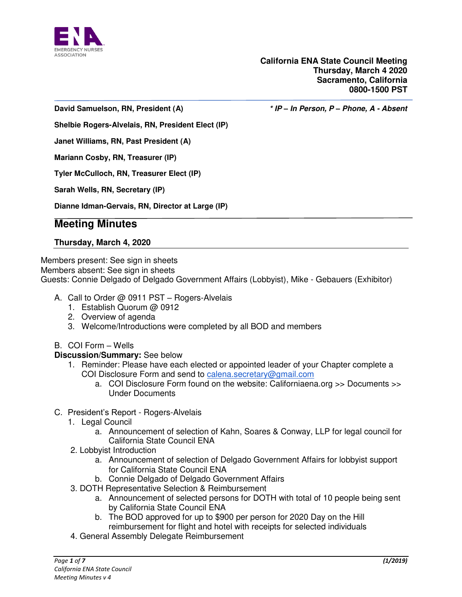

**David Samuelson, RN, President (A) \* IP** *–* **In Person, P** *–* **Phone, A - Absent**

**Shelbie Rogers-Alvelais, RN, President Elect (IP)** 

**Janet Williams, RN, Past President (A)** 

**Mariann Cosby, RN, Treasurer (IP)** 

**Tyler McCulloch, RN, Treasurer Elect (IP)** 

**Sarah Wells, RN, Secretary (IP)** 

**Dianne Idman-Gervais, RN, Director at Large (IP)** 

# **Meeting Minutes**

### **Thursday, March 4, 2020**

Members present: See sign in sheets Members absent: See sign in sheets Guests: Connie Delgado of Delgado Government Affairs (Lobbyist), Mike - Gebauers (Exhibitor)

- A. Call to Order @ 0911 PST Rogers-Alvelais
	- 1. Establish Quorum @ 0912
	- 2. Overview of agenda
	- 3. Welcome/Introductions were completed by all BOD and members

#### B. COI Form – Wells

#### **Discussion/Summary:** See below

- 1. Reminder: Please have each elected or appointed leader of your Chapter complete a COI Disclosure Form and send to [calena.secretary@gmail.com](mailto:calena.secretary@gmail.com)
	- a. COI Disclosure Form found on the website: Californiaena.org >> Documents >> Under Documents
- C. President's Report Rogers-Alvelais
	- 1. Legal Council
		- a. Announcement of selection of Kahn, Soares & Conway, LLP for legal council for California State Council ENA
	- 2. Lobbyist Introduction
		- a. Announcement of selection of Delgado Government Affairs for lobbyist support for California State Council ENA
		- b. Connie Delgado of Delgado Government Affairs
	- 3. DOTH Representative Selection & Reimbursement
		- a. Announcement of selected persons for DOTH with total of 10 people being sent by California State Council ENA
		- b. The BOD approved for up to \$900 per person for 2020 Day on the Hill reimbursement for flight and hotel with receipts for selected individuals
	- 4. General Assembly Delegate Reimbursement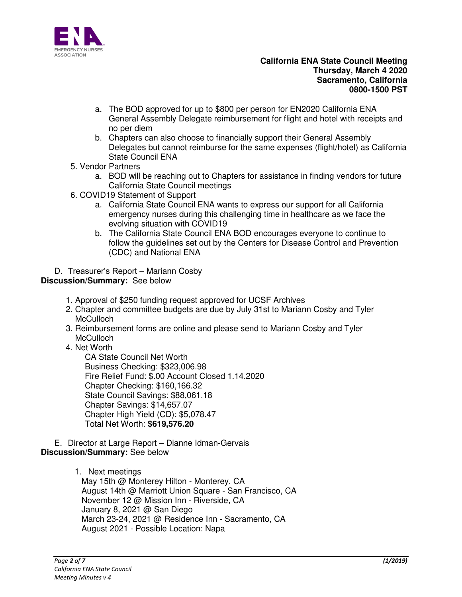

- a. The BOD approved for up to \$800 per person for EN2020 California ENA General Assembly Delegate reimbursement for flight and hotel with receipts and no per diem
- b. Chapters can also choose to financially support their General Assembly Delegates but cannot reimburse for the same expenses (flight/hotel) as California State Council ENA
- 5. Vendor Partners
	- a. BOD will be reaching out to Chapters for assistance in finding vendors for future California State Council meetings
- 6. COVID19 Statement of Support
	- a. California State Council ENA wants to express our support for all California emergency nurses during this challenging time in healthcare as we face the evolving situation with COVID19
	- b. The California State Council ENA BOD encourages everyone to continue to follow the guidelines set out by the Centers for Disease Control and Prevention (CDC) and National ENA

D. Treasurer's Report – Mariann Cosby

# **Discussion/Summary:** See below

- 1. Approval of \$250 funding request approved for UCSF Archives
- 2. Chapter and committee budgets are due by July 31st to Mariann Cosby and Tyler **McCulloch**
- 3. Reimbursement forms are online and please send to Mariann Cosby and Tyler **McCulloch**
- 4. Net Worth

CA State Council Net Worth Business Checking: \$323,006.98 Fire Relief Fund: \$.00 Account Closed 1.14.2020 Chapter Checking: \$160,166.32 State Council Savings: \$88,061.18 Chapter Savings: \$14,657.07 Chapter High Yield (CD): \$5,078.47 Total Net Worth: **\$619,576.20** 

### E. Director at Large Report – Dianne Idman-Gervais **Discussion/Summary:** See below

1. Next meetings May 15th @ Monterey Hilton - Monterey, CA August 14th @ Marriott Union Square - San Francisco, CA November 12 @ Mission Inn - Riverside, CA January 8, 2021 @ San Diego March 23-24, 2021 @ Residence Inn - Sacramento, CA August 2021 - Possible Location: Napa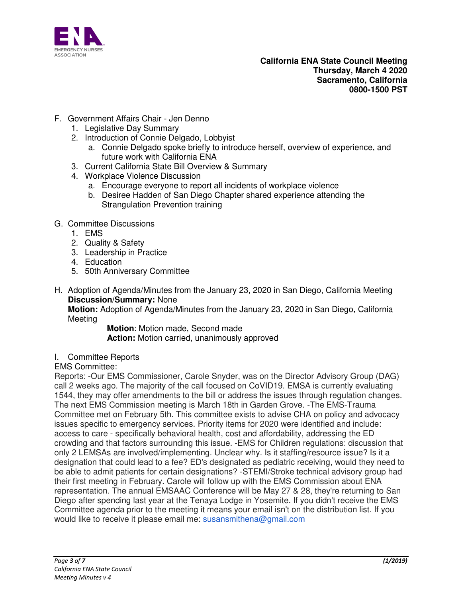

- F. Government Affairs Chair Jen Denno
	- 1. Legislative Day Summary
	- 2. Introduction of Connie Delgado, Lobbyist
		- a. Connie Delgado spoke briefly to introduce herself, overview of experience, and future work with California ENA
	- 3. Current California State Bill Overview & Summary
	- 4. Workplace Violence Discussion
		- a. Encourage everyone to report all incidents of workplace violence
		- b. Desiree Hadden of San Diego Chapter shared experience attending the Strangulation Prevention training
- G. Committee Discussions
	- 1. EMS
	- 2. Quality & Safety
	- 3. Leadership in Practice
	- 4. Education
	- 5. 50th Anniversary Committee
- H. Adoption of Agenda/Minutes from the January 23, 2020 in San Diego, California Meeting **Discussion/Summary:** None

**Motion:** Adoption of Agenda/Minutes from the January 23, 2020 in San Diego, California **Meeting** 

 **Motion**: Motion made, Second made  **Action:** Motion carried, unanimously approved

I. Committee Reports

# EMS Committee:

Reports: -Our EMS Commissioner, Carole Snyder, was on the Director Advisory Group (DAG) call 2 weeks ago. The majority of the call focused on CoVID19. EMSA is currently evaluating 1544, they may offer amendments to the bill or address the issues through regulation changes. The next EMS Commission meeting is March 18th in Garden Grove. -The EMS-Trauma Committee met on February 5th. This committee exists to advise CHA on policy and advocacy issues specific to emergency services. Priority items for 2020 were identified and include: access to care - specifically behavioral health, cost and affordability, addressing the ED crowding and that factors surrounding this issue. -EMS for Children regulations: discussion that only 2 LEMSAs are involved/implementing. Unclear why. Is it staffing/resource issue? Is it a designation that could lead to a fee? ED's designated as pediatric receiving, would they need to be able to admit patients for certain designations? -STEMI/Stroke technical advisory group had their first meeting in February. Carole will follow up with the EMS Commission about ENA representation. The annual EMSAAC Conference will be May 27 & 28, they're returning to San Diego after spending last year at the Tenaya Lodge in Yosemite. If you didn't receive the EMS Committee agenda prior to the meeting it means your email isn't on the distribution list. If you would like to receive it please email me: susansmithena@gmail.com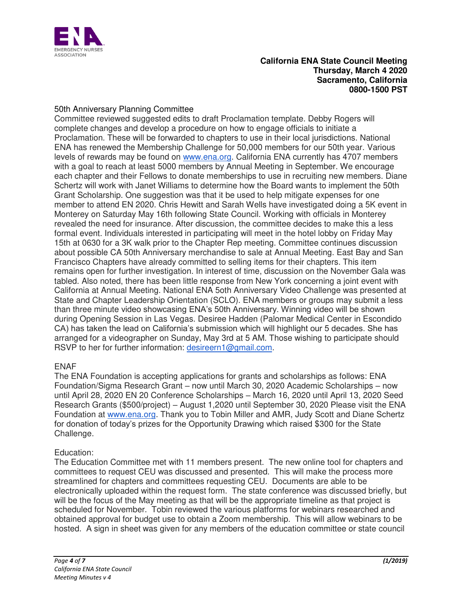

# 50th Anniversary Planning Committee

Committee reviewed suggested edits to draft Proclamation template. Debby Rogers will complete changes and develop a procedure on how to engage officials to initiate a Proclamation. These will be forwarded to chapters to use in their local jurisdictions. National ENA has renewed the Membership Challenge for 50,000 members for our 50th year. Various levels of rewards may be found on [www.ena.org.](http://www.ena.org/) California ENA currently has 4707 members with a goal to reach at least 5000 members by Annual Meeting in September. We encourage each chapter and their Fellows to donate memberships to use in recruiting new members. Diane Schertz will work with Janet Williams to determine how the Board wants to implement the 50th Grant Scholarship. One suggestion was that it be used to help mitigate expenses for one member to attend EN 2020. Chris Hewitt and Sarah Wells have investigated doing a 5K event in Monterey on Saturday May 16th following State Council. Working with officials in Monterey revealed the need for insurance. After discussion, the committee decides to make this a less formal event. Individuals interested in participating will meet in the hotel lobby on Friday May 15th at 0630 for a 3K walk prior to the Chapter Rep meeting. Committee continues discussion about possible CA 50th Anniversary merchandise to sale at Annual Meeting. East Bay and San Francisco Chapters have already committed to selling items for their chapters. This item remains open for further investigation. In interest of time, discussion on the November Gala was tabled. Also noted, there has been little response from New York concerning a joint event with California at Annual Meeting. National ENA 5oth Anniversary Video Challenge was presented at State and Chapter Leadership Orientation (SCLO). ENA members or groups may submit a less than three minute video showcasing ENA's 50th Anniversary. Winning video will be shown during Opening Session in Las Vegas. Desiree Hadden (Palomar Medical Center in Escondido CA) has taken the lead on California's submission which will highlight our 5 decades. She has arranged for a videographer on Sunday, May 3rd at 5 AM. Those wishing to participate should RSVP to her for further information: [desireern1@gmail.com.](mailto:desireern1@gmail.com)

# ENAF

The ENA Foundation is accepting applications for grants and scholarships as follows: ENA Foundation/Sigma Research Grant – now until March 30, 2020 Academic Scholarships – now until April 28, 2020 EN 20 Conference Scholarships – March 16, 2020 until April 13, 2020 Seed Research Grants (\$500/project) – August 1,2020 until September 30, 2020 Please visit the ENA Foundation at [www.ena.org.](http://www.ena.org/) Thank you to Tobin Miller and AMR, Judy Scott and Diane Schertz for donation of today's prizes for the Opportunity Drawing which raised \$300 for the State Challenge.

# Education:

The Education Committee met with 11 members present. The new online tool for chapters and committees to request CEU was discussed and presented. This will make the process more streamlined for chapters and committees requesting CEU. Documents are able to be electronically uploaded within the request form. The state conference was discussed briefly, but will be the focus of the May meeting as that will be the appropriate timeline as that project is scheduled for November. Tobin reviewed the various platforms for webinars researched and obtained approval for budget use to obtain a Zoom membership. This will allow webinars to be hosted. A sign in sheet was given for any members of the education committee or state council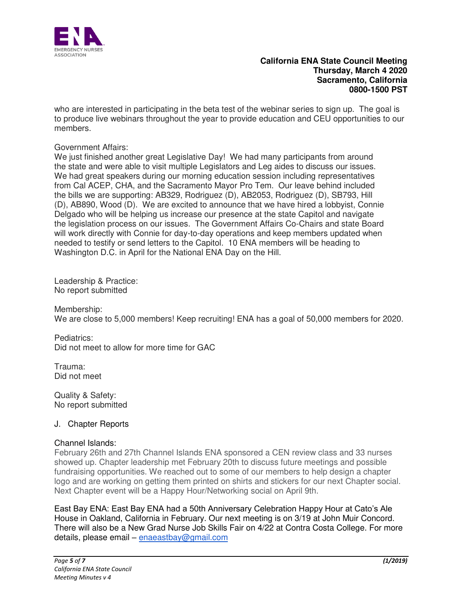

who are interested in participating in the beta test of the webinar series to sign up. The goal is to produce live webinars throughout the year to provide education and CEU opportunities to our members.

## Government Affairs:

We just finished another great Legislative Day! We had many participants from around the state and were able to visit multiple Legislators and Leg aides to discuss our issues. We had great speakers during our morning education session including representatives from Cal ACEP, CHA, and the Sacramento Mayor Pro Tem. Our leave behind included the bills we are supporting: AB329, Rodriguez (D), AB2053, Rodriguez (D), SB793, Hill (D), AB890, Wood (D). We are excited to announce that we have hired a lobbyist, Connie Delgado who will be helping us increase our presence at the state Capitol and navigate the legislation process on our issues. The Government Affairs Co-Chairs and state Board will work directly with Connie for day-to-day operations and keep members updated when needed to testify or send letters to the Capitol. 10 ENA members will be heading to Washington D.C. in April for the National ENA Day on the Hill.

Leadership & Practice: No report submitted

Membership: We are close to 5,000 members! Keep recruiting! ENA has a goal of 50,000 members for 2020.

Pediatrics: Did not meet to allow for more time for GAC

Trauma: Did not meet

Quality & Safety: No report submitted

# J. Chapter Reports

#### Channel Islands:

February 26th and 27th Channel Islands ENA sponsored a CEN review class and 33 nurses showed up. Chapter leadership met February 20th to discuss future meetings and possible fundraising opportunities. We reached out to some of our members to help design a chapter logo and are working on getting them printed on shirts and stickers for our next Chapter social. Next Chapter event will be a Happy Hour/Networking social on April 9th.

East Bay ENA: East Bay ENA had a 50th Anniversary Celebration Happy Hour at Cato's Ale House in Oakland, California in February. Our next meeting is on 3/19 at John Muir Concord. There will also be a New Grad Nurse Job Skills Fair on 4/22 at Contra Costa College. For more details, please email - [enaeastbay@gmail.com](mailto:enaeastbay@gmail.com)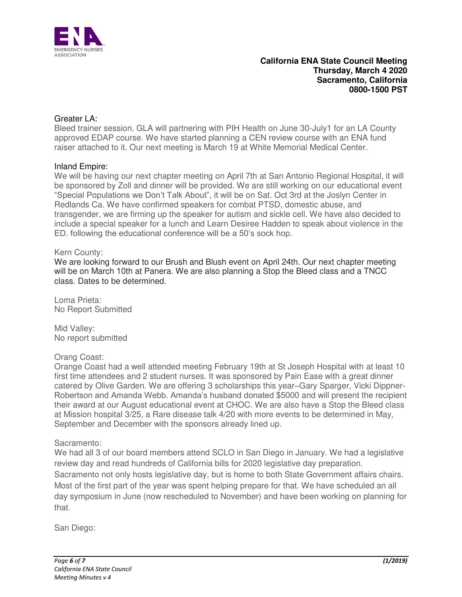

# Greater LA:

Bleed trainer session. GLA will partnering with PIH Health on June 30-July1 for an LA County approved EDAP course. We have started planning a CEN review course with an ENA fund raiser attached to it. Our next meeting is March 19 at White Memorial Medical Center.

### Inland Empire:

We will be having our next chapter meeting on April 7th at San Antonio Regional Hospital, it will be sponsored by Zoll and dinner will be provided. We are still working on our educational event "Special Populations we Don't Talk About", it will be on Sat. Oct 3rd at the Joslyn Center in Redlands Ca. We have confirmed speakers for combat PTSD, domestic abuse, and transgender, we are firming up the speaker for autism and sickle cell. We have also decided to include a special speaker for a lunch and Learn Desiree Hadden to speak about violence in the ED. following the educational conference will be a 50's sock hop.

### Kern County:

We are looking forward to our Brush and Blush event on April 24th. Our next chapter meeting will be on March 10th at Panera. We are also planning a Stop the Bleed class and a TNCC class. Dates to be determined.

Loma Prieta: No Report Submitted

Mid Valley: No report submitted

# Orang Coast:

Orange Coast had a well attended meeting February 19th at St Joseph Hospital with at least 10 first time attendees and 2 student nurses. It was sponsored by Pain Ease with a great dinner catered by Olive Garden. We are offering 3 scholarships this year–Gary Sparger, Vicki Dippner-Robertson and Amanda Webb. Amanda's husband donated \$5000 and will present the recipient their award at our August educational event at CHOC. We are also have a Stop the Bleed class at Mission hospital 3/25, a Rare disease talk 4/20 with more events to be determined in May, September and December with the sponsors already lined up.

#### Sacramento:

We had all 3 of our board members attend SCLO in San Diego in January. We had a legislative review day and read hundreds of California bills for 2020 legislative day preparation. Sacramento not only hosts legislative day, but is home to both State Government affairs chairs. Most of the first part of the year was spent helping prepare for that. We have scheduled an all day symposium in June (now rescheduled to November) and have been working on planning for that.

San Diego: